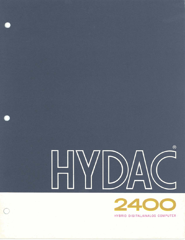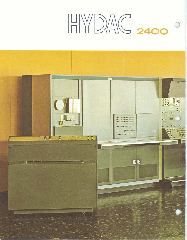# $HVDAC$  2400

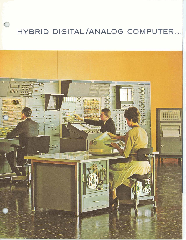## HYBRID DIGITAL/ANALOG COMPUTER...

 $\bigcirc$ 

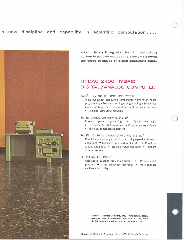### a new discipline and capability in scientific computation ....



a completely integrated hybrid computing system to provide solutions to problems beyond the scope of analog or digital computers alone.

## HYDAC 2400 HYBRID DIGITAL/ANALOG COMPUTER

#### PACE<sup>®</sup> 231R-V ANALOG COMPUTING SYSTEM

Wide bandwidth computing components **=** Pre-patch panel Mide bandwidth computing components **=** Pre-patch panel programming . Mode control logic programming . Solid-state<br>mode switching . Temperature-stabilized network oven **Precision computing networks.** 

#### EAI 350 DIGITAL OPERATIONS SYSTEM

- Pre-patch panel programming . Synchronous logic Pre-patch panel programming  $\Box$  Synchronous logic<br>
Im High-speed A-D, D-A conversion . Complementary outputs
- 
- $\blacksquare$  Individual component indicators.

#### EAI 375 (3C DDP-24) DIGITAL COMPUTING SYSTEM \*

Parallel machine organization . High-speed arithmetic operations Extensive input-output facilities .Punchedoperations **Extensive input-output facilities . Punched-**<br>tape programming **E** Stored program operation **E** Random access memory

PERIPHERAL EQUIPMENT<br>High-speed punched tape input-output **.** Precision X-Y plotting **\*** Wide bandwidth recording **\*** Multi-channel oscilloscope display

- 
- 

**\*Computer Control Ccmpany, Inc., Framingham, Mass., designed and manufactures the DDP-24, the major digital computing sub-system of the HYDAC 2400.**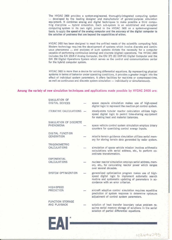The HYDAC 2400 provides a system-engineered, thoroughly-integrated computing system<br>— developed by the leading designer and manufacturer of general-purpose simulation<br>equipment It complies analog and digital techniques to equipment. It combines analog and digital techniques to make possible a third compu-- developed by the leading designer and manufacturer of general-purpose simulation equipment. It combines analog and digital techniques to make possible a third computing discipline - hybrid simulation. Each sub-system is computing system in its own right, joined in the HYDAC 2400 on a systemengineered basis, to apply the speed of the analog computer and the accuracy of the digital computer to the solution of problems that are beyond the capabilities of either.

HYDAC 2400 has been designed to meet the unfilled needs of the scientific computing field. Modern technology requires the development of systems which involve discrete and continuous phenomena - and analyses of such systems dictate the necessity for a computer capable of performing continuous (analog) and discrete (digital) operations. The HYDAC 2400 includes the EAI 231R-V Analog Computer, the EAI 375 (3C DDP-24) Digital Computer and the EAI 350 Digital Operations System which serves as the control and communications center for the hybrid computer system.

HYDAC 2400 is more than a device for solving differential equations. By representing physical systems in terms of behavior under operating conditions, it provides a greater insight into the effect of individual system parameters. It offers facilities for real-time or compressed-time, as well as continuous and discr effect of individual system parameters. It offers facilities for real-time or compressed-time.

#### **Among the variety of new simulation techniques and applications made possible by HYDAC 2400 are:**

 $\vert - \vert \Lambda \vert$ 

| SIMULATION OF                                |                                                                                                                                                                                                       |
|----------------------------------------------|-------------------------------------------------------------------------------------------------------------------------------------------------------------------------------------------------------|
| <b>DIGITAL DEVICES</b>                       | space capsule simulation makes use of high-speed<br>digital logic to represent the reaction-jet control system.                                                                                       |
| ITERATIVE CALCULATIONS                       | steady-state tubular reactor calculation utilizes high-<br>speed digital logic to permit time-sharing equipment<br>for making heat and material balances.                                             |
| SIMULATION OF DISCRETE<br>PHENOMENA          | space vehicle control system simulation employs binary<br>counters for quantizing control energy inputs.                                                                                              |
| <b>DIGITAL FUNCTION</b><br><b>GENERATION</b> | missile terrain guidance simulation utilizes serial mem-<br>ory for storing terrain data generated by radar system.                                                                                   |
| <b>TRIGONOMETRIC</b><br><b>CALCULATIONS</b>  | simulation of space vehicle mission involves arithmetic<br>calculations with serial address, etc., to perform co-<br>ordinate transformation.                                                         |
| <b>EXPONENTIAL</b><br>CALCULATIONS           | nuclear reactor simulation employs serial address, mem-<br>ory, etc., for calculating reactor power which ranges<br>over several decades.                                                             |
| SYSTEM OPTIMIZATION                          | generalized optimization program makes use of high-<br>speed digital logic to implement automatic search<br>routine and systematic updating of parameters in ac-<br>cordance with an error criterion. |
| HIGH-SPEED                                   |                                                                                                                                                                                                       |
| <b>PREDICTION</b>                            | aircraft adaptive control simulation requires repetitive<br>prediction of system response to determine optimum<br>adjustment of control system parameters.                                            |
| <b>FUNCTION STORAGE</b>                      |                                                                                                                                                                                                       |
| AND PLAYBACK                                 | solution of heat transfer boundary value problem re-<br>quires serial memory storage of solutions in the serial<br>solution of partial differential equations.                                        |
|                                              |                                                                                                                                                                                                       |

1026A6295